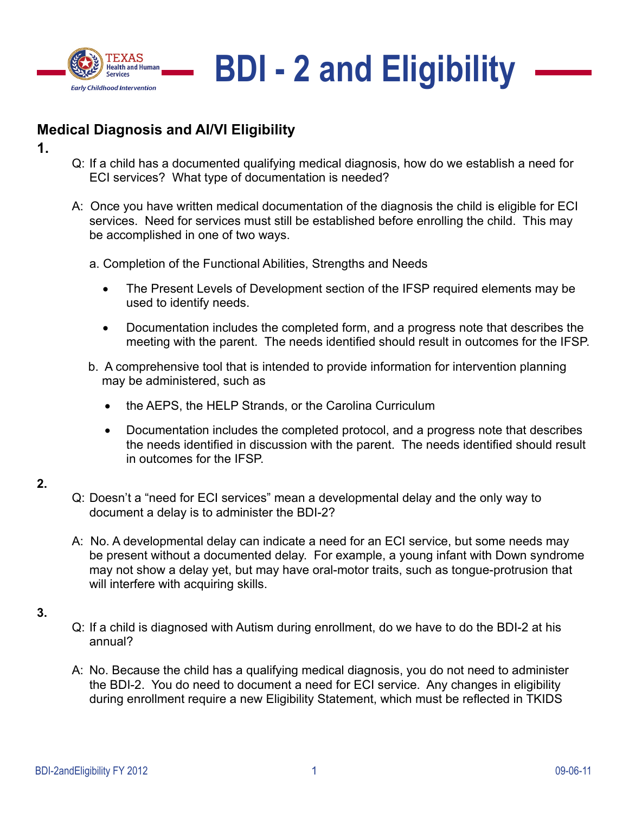



# **Medical Diagnosis and AI/VI Eligibility**

- **1.**
- Q: If a child has a documented qualifying medical diagnosis, how do we establish a need for ECI services? What type of documentation is needed?
- A: Once you have written medical documentation of the diagnosis the child is eligible for ECI services. Need for services must still be established before enrolling the child. This may be accomplished in one of two ways.
	- a. Completion of the Functional Abilities, Strengths and Needs
		- The Present Levels of Development section of the IFSP required elements may be used to identify needs.
		- Documentation includes the completed form, and a progress note that describes the meeting with the parent. The needs identified should result in outcomes for the IFSP.
	- b. A comprehensive tool that is intended to provide information for intervention planning may be administered, such as
		- the AEPS, the HELP Strands, or the Carolina Curriculum
		- Documentation includes the completed protocol, and a progress note that describes the needs identified in discussion with the parent. The needs identified should result in outcomes for the IFSP.

- Q: Doesn't a "need for ECI services" mean a developmental delay and the only way to document a delay is to administer the BDI-2?
- A: No. A developmental delay can indicate a need for an ECI service, but some needs may be present without a documented delay. For example, a young infant with Down syndrome may not show a delay yet, but may have oral-motor traits, such as tongue-protrusion that will interfere with acquiring skills.
- **3.**
- Q: If a child is diagnosed with Autism during enrollment, do we have to do the BDI-2 at his annual?
- A: No. Because the child has a qualifying medical diagnosis, you do not need to administer the BDI-2. You do need to document a need for ECI service. Any changes in eligibility during enrollment require a new Eligibility Statement, which must be reflected in TKIDS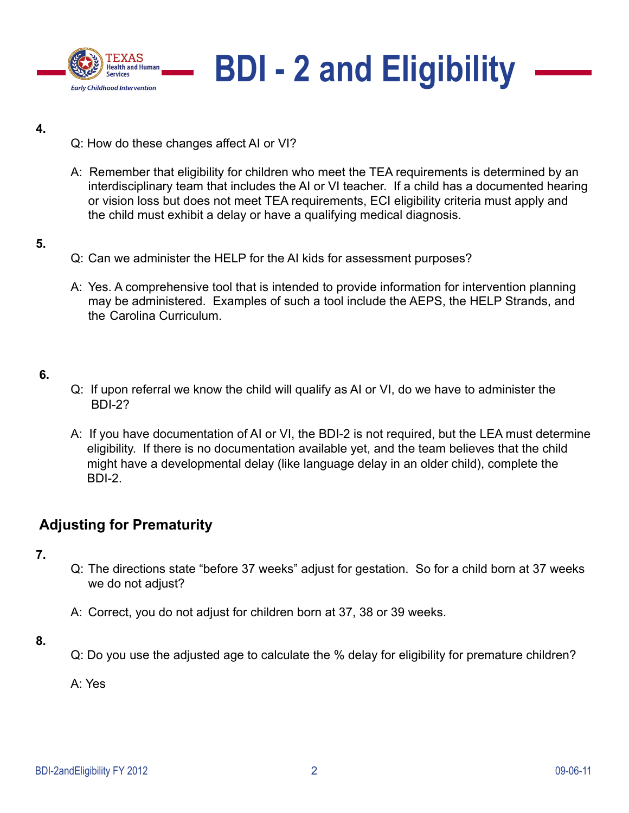



- Q: How do these changes affect AI or VI?
- A: Remember that eligibility for children who meet the TEA requirements is determined by an interdisciplinary team that includes the AI or VI teacher. If a child has a documented hearing or vision loss but does not meet TEA requirements, ECI eligibility criteria must apply and the child must exhibit a delay or have a qualifying medical diagnosis.

#### **5.**

- Q: Can we administer the HELP for the AI kids for assessment purposes?
- A: Yes. A comprehensive tool that is intended to provide information for intervention planning may be administered. Examples of such a tool include the AEPS, the HELP Strands, and the Carolina Curriculum.

# **6.**

- Q: If upon referral we know the child will qualify as AI or VI, do we have to administer the BDI-2?
- A: If you have documentation of AI or VI, the BDI-2 is not required, but the LEA must determine eligibility. If there is no documentation available yet, and the team believes that the child might have a developmental delay (like language delay in an older child), complete the BDI-2.

# **Adjusting for Prematurity**

- **7.**
- Q: The directions state "before 37 weeks" adjust for gestation. So for a child born at 37 weeks we do not adjust?
- A: Correct, you do not adjust for children born at 37, 38 or 39 weeks.
- **8.**
- Q: Do you use the adjusted age to calculate the % delay for eligibility for premature children?

A: Yes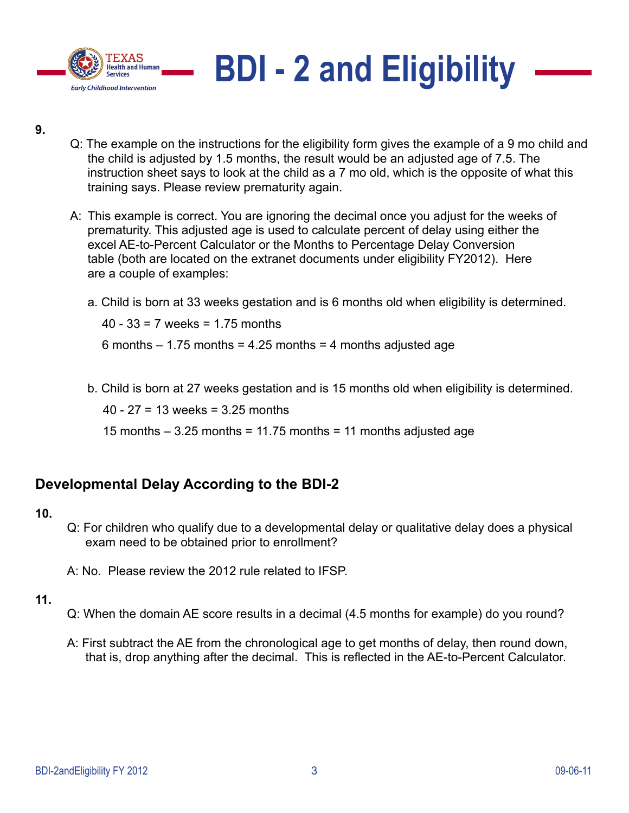



- Q: The example on the instructions for the eligibility form gives the example of a 9 mo child and the child is adjusted by 1.5 months, the result would be an adjusted age of 7.5. The instruction sheet says to look at the child as a 7 mo old, which is the opposite of what this training says. Please review prematurity again.
- A: This example is correct. You are ignoring the decimal once you adjust for the weeks of prematurity. This adjusted age is used to calculate percent of delay using either the excel AE-to-Percent Calculator or the Months to Percentage Delay Conversion table (both are located on the extranet documents under eligibility FY2012). Here are a couple of examples:
	- a. Child is born at 33 weeks gestation and is 6 months old when eligibility is determined.

40 - 33 = 7 weeks = 1.75 months

6 months  $-1.75$  months = 4.25 months = 4 months adjusted age

b. Child is born at 27 weeks gestation and is 15 months old when eligibility is determined.

40 - 27 = 13 weeks = 3.25 months

15 months  $-$  3.25 months = 11.75 months = 11 months adjusted age

# **Developmental Delay According to the BDI-2**

# **10.**

- Q: For children who qualify due to a developmental delay or qualitative delay does a physical exam need to be obtained prior to enrollment?
- A: No. Please review the 2012 rule related to IFSP.

- Q: When the domain AE score results in a decimal (4.5 months for example) do you round?
- A: First subtract the AE from the chronological age to get months of delay, then round down, that is, drop anything after the decimal. This is reflected in the AE-to-Percent Calculator.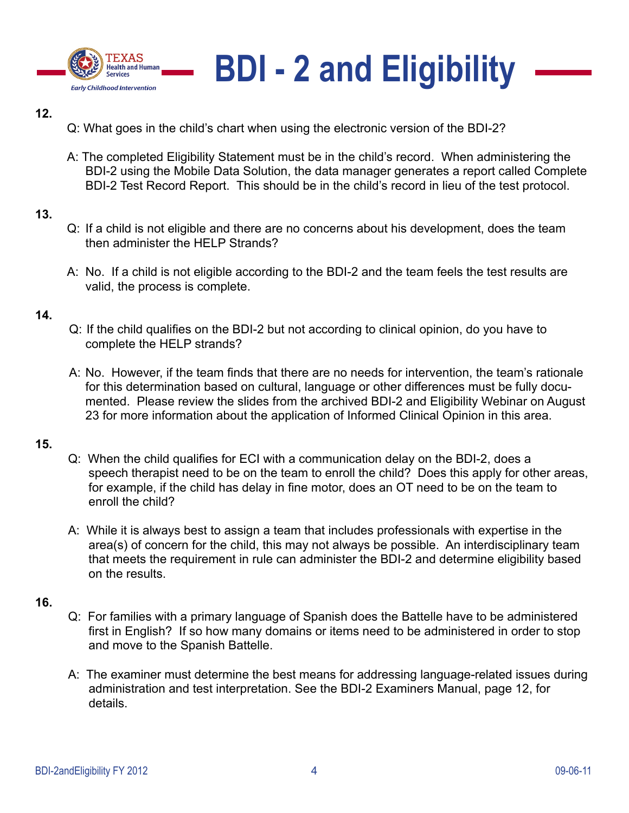



- Q: What goes in the child's chart when using the electronic version of the BDI-2?
- A: The completed Eligibility Statement must be in the child's record. When administering the BDI-2 using the Mobile Data Solution, the data manager generates a report called Complete BDI-2 Test Record Report. This should be in the child's record in lieu of the test protocol.

# **13.**

- Q: If a child is not eligible and there are no concerns about his development, does the team then administer the HELP Strands?
- A: No. If a child is not eligible according to the BDI-2 and the team feels the test results are valid, the process is complete.

# **14.**

- Q: If the child qualifies on the BDI-2 but not according to clinical opinion, do you have to complete the HELP strands?
- A: No. However, if the team finds that there are no needs for intervention, the team's rationale for this determination based on cultural, language or other differences must be fully documented. Please review the slides from the archived BDI-2 and Eligibility Webinar on August 23 for more information about the application of Informed Clinical Opinion in this area.

# **15.**

- Q: When the child qualifies for ECI with a communication delay on the BDI-2, does a speech therapist need to be on the team to enroll the child? Does this apply for other areas, for example, if the child has delay in fine motor, does an OT need to be on the team to enroll the child?
- A: While it is always best to assign a team that includes professionals with expertise in the area(s) of concern for the child, this may not always be possible. An interdisciplinary team that meets the requirement in rule can administer the BDI-2 and determine eligibility based on the results.

- Q: For families with a primary language of Spanish does the Battelle have to be administered first in English? If so how many domains or items need to be administered in order to stop and move to the Spanish Battelle.
- A: The examiner must determine the best means for addressing language-related issues during administration and test interpretation. See the BDI-2 Examiners Manual, page 12, for details.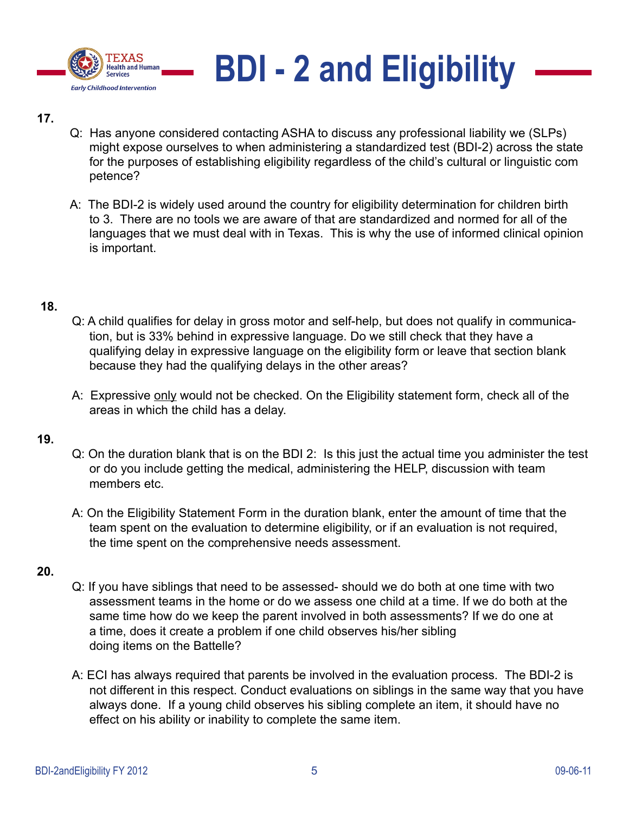



- Q: Has anyone considered contacting ASHA to discuss any professional liability we (SLPs) might expose ourselves to when administering a standardized test (BDI-2) across the state for the purposes of establishing eligibility regardless of the child's cultural or linguistic com petence?
- A: The BDI-2 is widely used around the country for eligibility determination for children birth to 3. There are no tools we are aware of that are standardized and normed for all of the languages that we must deal with in Texas. This is why the use of informed clinical opinion is important.

# **18.**

- Q: A child qualifies for delay in gross motor and self-help, but does not qualify in communication, but is 33% behind in expressive language. Do we still check that they have a qualifying delay in expressive language on the eligibility form or leave that section blank because they had the qualifying delays in the other areas?
- A: Expressive only would not be checked. On the Eligibility statement form, check all of the areas in which the child has a delay.

#### **19.**

- Q: On the duration blank that is on the BDI 2: Is this just the actual time you administer the test or do you include getting the medical, administering the HELP, discussion with team members etc.
- A: On the Eligibility Statement Form in the duration blank, enter the amount of time that the team spent on the evaluation to determine eligibility, or if an evaluation is not required, the time spent on the comprehensive needs assessment.

- Q: If you have siblings that need to be assessed- should we do both at one time with two assessment teams in the home or do we assess one child at a time. If we do both at the same time how do we keep the parent involved in both assessments? If we do one at a time, does it create a problem if one child observes his/her sibling doing items on the Battelle?
- A: ECI has always required that parents be involved in the evaluation process. The BDI-2 is not different in this respect. Conduct evaluations on siblings in the same way that you have always done. If a young child observes his sibling complete an item, it should have no effect on his ability or inability to complete the same item.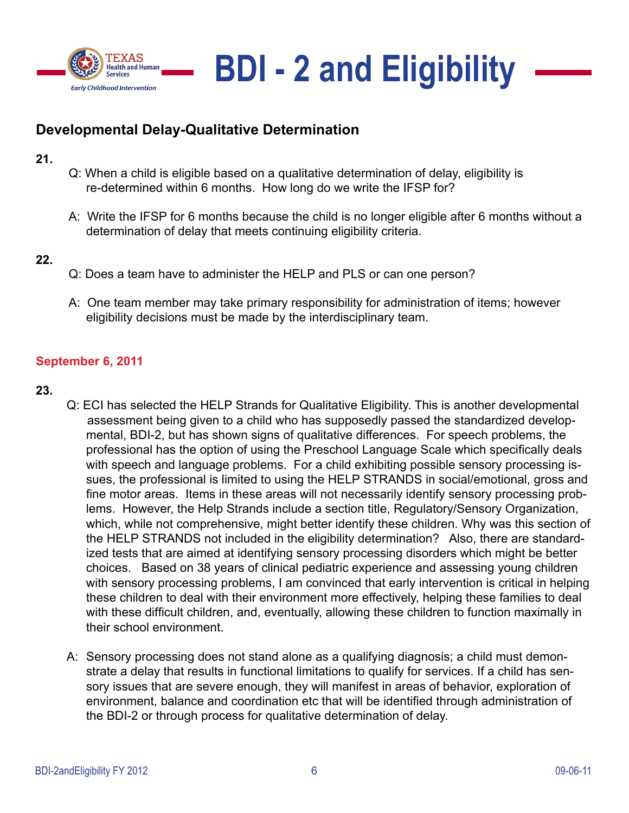



# **Developmental Delay-Qualitative Determination**

- **21.**
- Q: When a child is eligible based on a qualitative determination of delay, eligibility is re-determined within 6 months. How long do we write the IFSP for?
- A: Write the IFSP for 6 months because the child is no longer eligible after 6 months without a determination of delay that meets continuing eligibility criteria.
- **22.**
- Q: Does a team have to administer the HELP and PLS or can one person?
- A: One team member may take primary responsibility for administration of items; however eligibility decisions must be made by the interdisciplinary team.

# **September 6, 2011**

- **23.**
- Q: ECI has selected the HELP Strands for Qualitative Eligibility. This is another developmental assessment being given to a child who has supposedly passed the standardized developmental, BDI-2, but has shown signs of qualitative differences. For speech problems, the professional has the option of using the Preschool Language Scale which specifically deals with speech and language problems. For a child exhibiting possible sensory processing issues, the professional is limited to using the HELP STRANDS in social/emotional, gross and fine motor areas. Items in these areas will not necessarily identify sensory processing problems. However, the Help Strands include a section title, Regulatory/Sensory Organization, which, while not comprehensive, might better identify these children. Why was this section of the HELP STRANDS not included in the eligibility determination? Also, there are standardized tests that are aimed at identifying sensory processing disorders which might be better choices. Based on 38 years of clinical pediatric experience and assessing young children with sensory processing problems, I am convinced that early intervention is critical in helping these children to deal with their environment more effectively, helping these families to deal with these difficult children, and, eventually, allowing these children to function maximally in their school environment.
- A: Sensory processing does not stand alone as a qualifying diagnosis; a child must demonstrate a delay that results in functional limitations to qualify for services. If a child has sensory issues that are severe enough, they will manifest in areas of behavior, exploration of environment, balance and coordination etc that will be identified through administration of the BDI-2 or through process for qualitative determination of delay.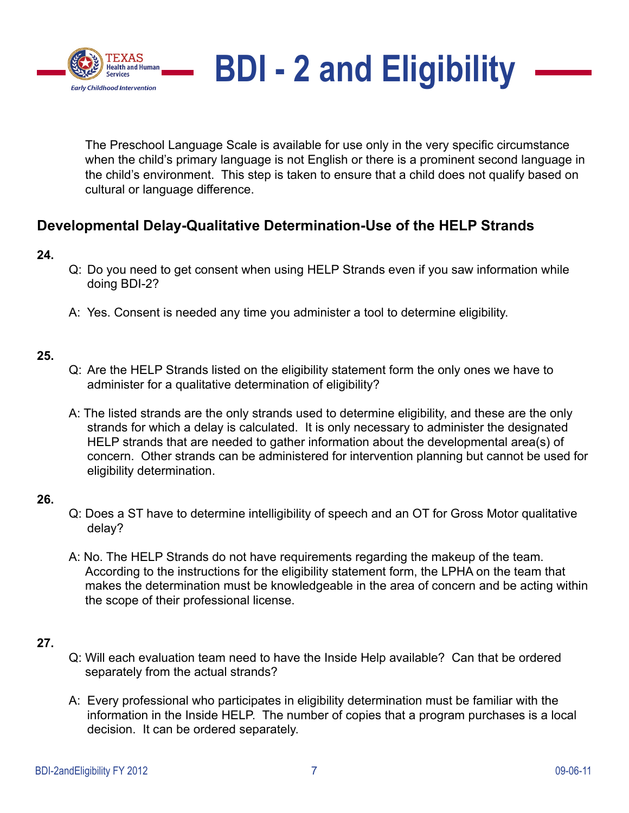

The Preschool Language Scale is available for use only in the very specific circumstance when the child's primary language is not English or there is a prominent second language in the child's environment. This step is taken to ensure that a child does not qualify based on cultural or language difference.

# **Developmental Delay-Qualitative Determination-Use of the HELP Strands**

# **24.**

- Q: Do you need to get consent when using HELP Strands even if you saw information while doing BDI-2?
- A: Yes. Consent is needed any time you administer a tool to determine eligibility.

# **25.**

- Q: Are the HELP Strands listed on the eligibility statement form the only ones we have to administer for a qualitative determination of eligibility?
- A: The listed strands are the only strands used to determine eligibility, and these are the only strands for which a delay is calculated. It is only necessary to administer the designated HELP strands that are needed to gather information about the developmental area(s) of concern. Other strands can be administered for intervention planning but cannot be used for eligibility determination.

# **26.**

- Q: Does a ST have to determine intelligibility of speech and an OT for Gross Motor qualitative delay?
- A: No. The HELP Strands do not have requirements regarding the makeup of the team. According to the instructions for the eligibility statement form, the LPHA on the team that makes the determination must be knowledgeable in the area of concern and be acting within the scope of their professional license.

- Q: Will each evaluation team need to have the Inside Help available? Can that be ordered separately from the actual strands?
- A: Every professional who participates in eligibility determination must be familiar with the information in the Inside HELP. The number of copies that a program purchases is a local decision. It can be ordered separately.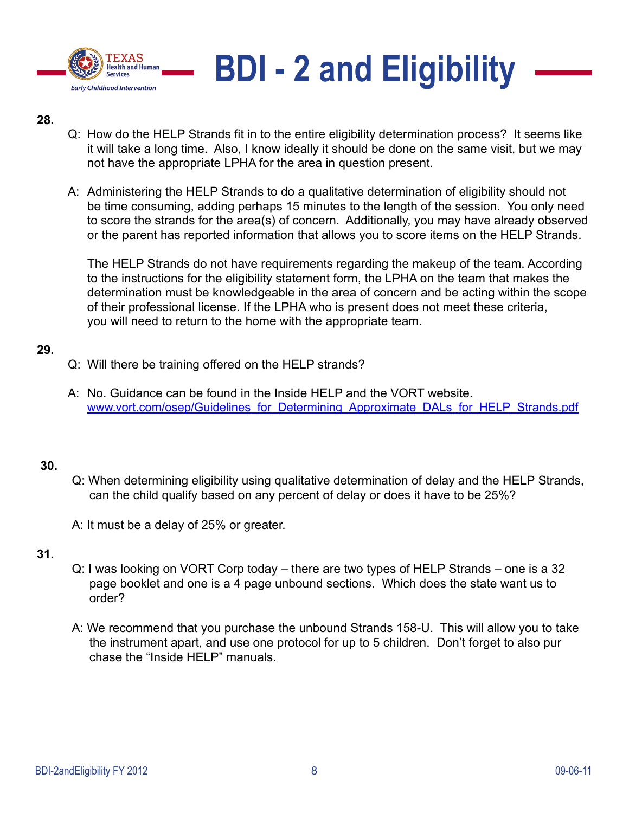



- Q: How do the HELP Strands fit in to the entire eligibility determination process? It seems like it will take a long time. Also, I know ideally it should be done on the same visit, but we may not have the appropriate LPHA for the area in question present.
- A: Administering the HELP Strands to do a qualitative determination of eligibility should not be time consuming, adding perhaps 15 minutes to the length of the session. You only need to score the strands for the area(s) of concern. Additionally, you may have already observed or the parent has reported information that allows you to score items on the HELP Strands.

The HELP Strands do not have requirements regarding the makeup of the team. According to the instructions for the eligibility statement form, the LPHA on the team that makes the determination must be knowledgeable in the area of concern and be acting within the scope of their professional license. If the LPHA who is present does not meet these criteria, you will need to return to the home with the appropriate team.

#### **29.**

- Q: Will there be training offered on the HELP strands?
- A: No. Guidance can be found in the Inside HELP and the VORT website. www.vort.com/osep/Guidelines\_for\_Determining\_Approximate\_DALs\_for\_HELP\_Strands.pdf

# **30.**

- Q: When determining eligibility using qualitative determination of delay and the HELP Strands, can the child qualify based on any percent of delay or does it have to be 25%?
- A: It must be a delay of 25% or greater.

- Q: I was looking on VORT Corp today there are two types of HELP Strands one is a 32 page booklet and one is a 4 page unbound sections. Which does the state want us to order?
- A: We recommend that you purchase the unbound Strands 158-U. This will allow you to take the instrument apart, and use one protocol for up to 5 children. Don't forget to also pur chase the "Inside HELP" manuals.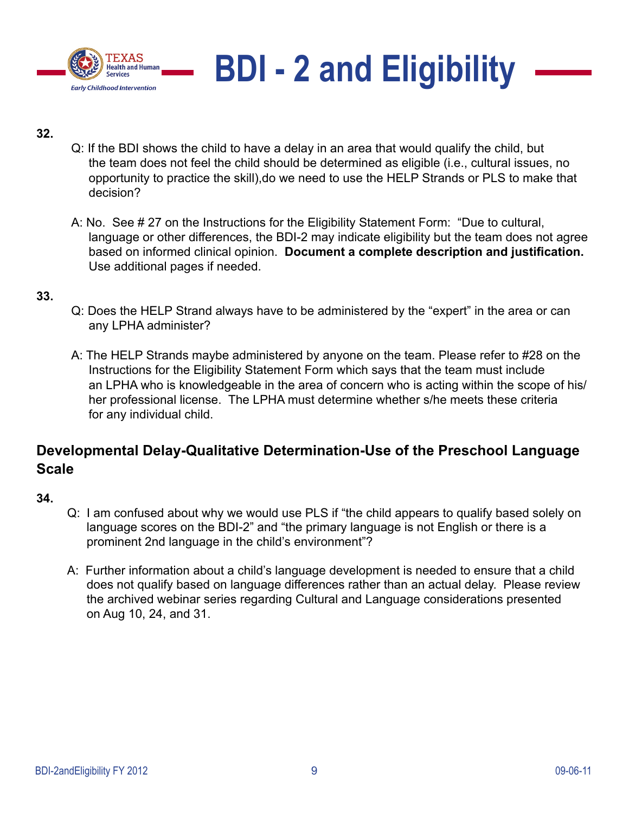



- Q: If the BDI shows the child to have a delay in an area that would qualify the child, but the team does not feel the child should be determined as eligible (i.e., cultural issues, no opportunity to practice the skill),do we need to use the HELP Strands or PLS to make that decision?
- A: No. See # 27 on the Instructions for the Eligibility Statement Form: "Due to cultural, language or other differences, the BDI-2 may indicate eligibility but the team does not agree based on informed clinical opinion. **Document a complete description and justification.** Use additional pages if needed.

#### **33.**

- Q: Does the HELP Strand always have to be administered by the "expert" in the area or can any LPHA administer?
- A: The HELP Strands maybe administered by anyone on the team. Please refer to #28 on the Instructions for the Eligibility Statement Form which says that the team must include an LPHA who is knowledgeable in the area of concern who is acting within the scope of his/ her professional license. The LPHA must determine whether s/he meets these criteria for any individual child.

# **Developmental Delay-Qualitative Determination-Use of the Preschool Language Scale**

- Q: I am confused about why we would use PLS if "the child appears to qualify based solely on language scores on the BDI-2" and "the primary language is not English or there is a prominent 2nd language in the child's environment"?
- A: Further information about a child's language development is needed to ensure that a child does not qualify based on language differences rather than an actual delay. Please review the archived webinar series regarding Cultural and Language considerations presented on Aug 10, 24, and 31.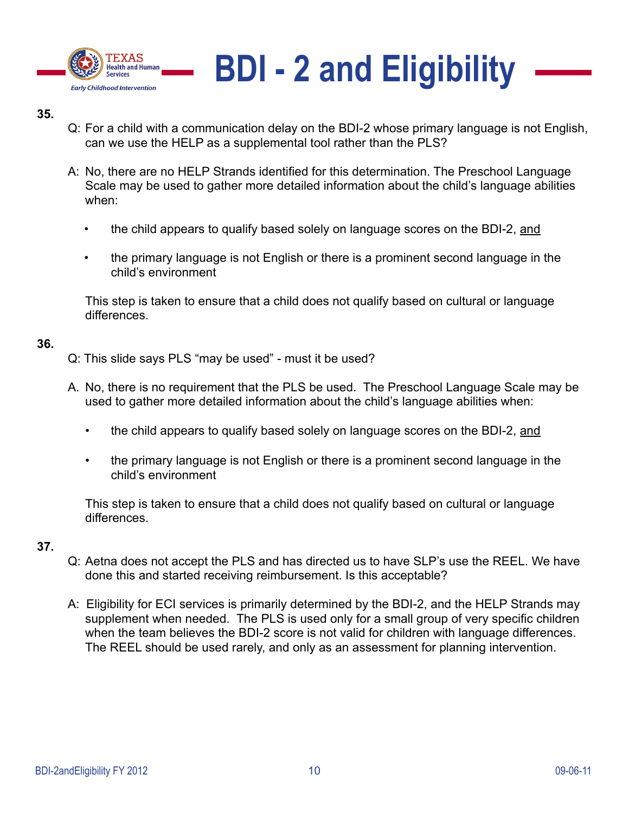



- Q: For a child with a communication delay on the BDI-2 whose primary language is not English, can we use the HELP as a supplemental tool rather than the PLS?
- A: No, there are no HELP Strands identified for this determination. The Preschool Language Scale may be used to gather more detailed information about the child's language abilities when:
	- the child appears to qualify based solely on language scores on the BDI-2, and
	- the primary language is not English or there is a prominent second language in the child's environment

This step is taken to ensure that a child does not qualify based on cultural or language differences.

#### **36.**

- Q: This slide says PLS "may be used" must it be used?
- A. No, there is no requirement that the PLS be used. The Preschool Language Scale may be used to gather more detailed information about the child's language abilities when:
	- the child appears to qualify based solely on language scores on the BDI-2, and
	- the primary language is not English or there is a prominent second language in the child's environment

This step is taken to ensure that a child does not qualify based on cultural or language differences.

- Q: Aetna does not accept the PLS and has directed us to have SLP's use the REEL. We have done this and started receiving reimbursement. Is this acceptable?
- A: Eligibility for ECI services is primarily determined by the BDI-2, and the HELP Strands may supplement when needed. The PLS is used only for a small group of very specific children when the team believes the BDI-2 score is not valid for children with language differences. The REEL should be used rarely, and only as an assessment for planning intervention.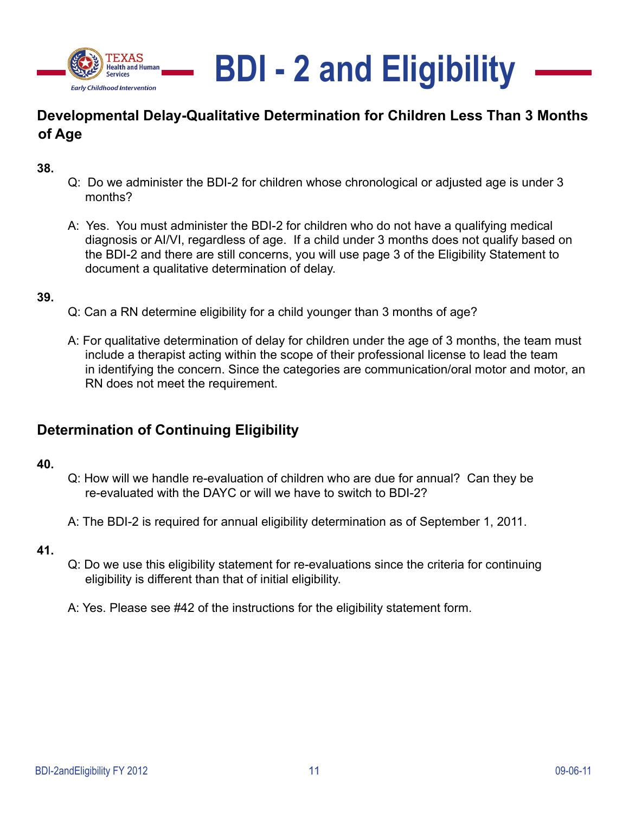



# **Developmental Delay-Qualitative Determination for Children Less Than 3 Months of Age**

**38.**

- Q: Do we administer the BDI-2 for children whose chronological or adjusted age is under 3 months?
- A: Yes. You must administer the BDI-2 for children who do not have a qualifying medical diagnosis or AI/VI, regardless of age. If a child under 3 months does not qualify based on the BDI-2 and there are still concerns, you will use page 3 of the Eligibility Statement to document a qualitative determination of delay.

#### **39.**

- Q: Can a RN determine eligibility for a child younger than 3 months of age?
- A: For qualitative determination of delay for children under the age of 3 months, the team must include a therapist acting within the scope of their professional license to lead the team in identifying the concern. Since the categories are communication/oral motor and motor, an RN does not meet the requirement.

# **Determination of Continuing Eligibility**

#### **40.**

- Q: How will we handle re-evaluation of children who are due for annual? Can they be re-evaluated with the DAYC or will we have to switch to BDI-2?
- A: The BDI-2 is required for annual eligibility determination as of September 1, 2011.

- Q: Do we use this eligibility statement for re-evaluations since the criteria for continuing eligibility is different than that of initial eligibility.
- A: Yes. Please see #42 of the instructions for the eligibility statement form.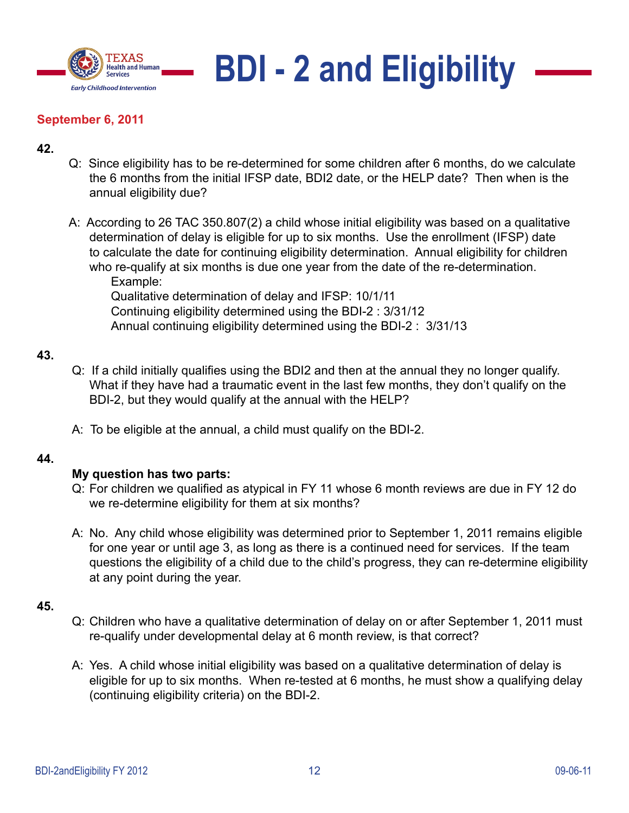

# **BDI - 2 and Eligibility**

# **September 6, 2011**

# **42.**

- Q: Since eligibility has to be re-determined for some children after 6 months, do we calculate the 6 months from the initial IFSP date, BDI2 date, or the HELP date? Then when is the annual eligibility due?
- A: According to 26 TAC 350.807(2) a child whose initial eligibility was based on a qualitative determination of delay is eligible for up to six months. Use the enrollment (IFSP) date to calculate the date for continuing eligibility determination. Annual eligibility for children who re-qualify at six months is due one year from the date of the re-determination. Example: Qualitative determination of delay and IFSP: 10/1/11 Continuing eligibility determined using the BDI-2 : 3/31/12

Annual continuing eligibility determined using the BDI-2 : 3/31/13

# **43.**

- Q: If a child initially qualifies using the BDI2 and then at the annual they no longer qualify. What if they have had a traumatic event in the last few months, they don't qualify on the BDI-2, but they would qualify at the annual with the HELP?
- A: To be eligible at the annual, a child must qualify on the BDI-2.

# **44.**

# **My question has two parts:**

- Q: For children we qualified as atypical in FY 11 whose 6 month reviews are due in FY 12 do we re-determine eligibility for them at six months?
- A: No. Any child whose eligibility was determined prior to September 1, 2011 remains eligible for one year or until age 3, as long as there is a continued need for services. If the team questions the eligibility of a child due to the child's progress, they can re-determine eligibility at any point during the year.

- Q: Children who have a qualitative determination of delay on or after September 1, 2011 must re-qualify under developmental delay at 6 month review, is that correct?
- A: Yes. A child whose initial eligibility was based on a qualitative determination of delay is eligible for up to six months. When re-tested at 6 months, he must show a qualifying delay (continuing eligibility criteria) on the BDI-2.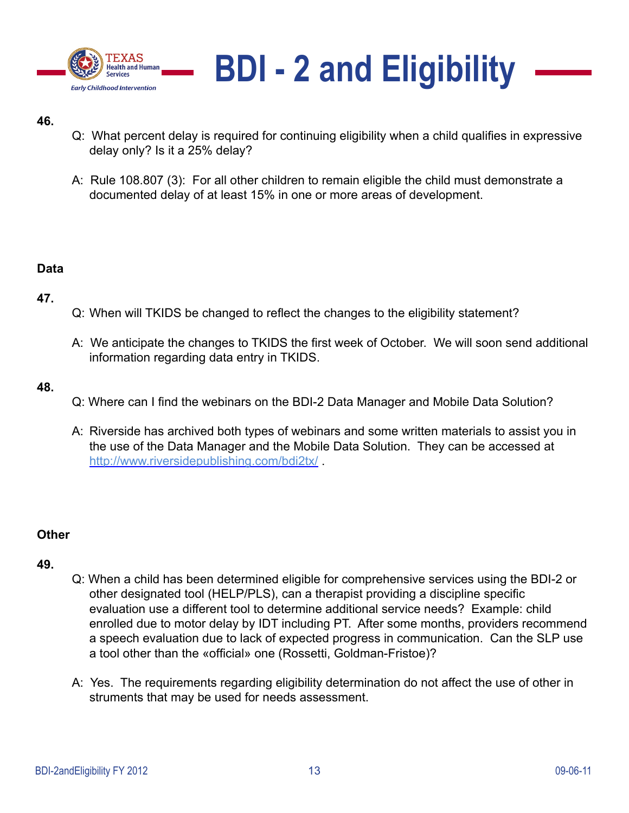



- Q: What percent delay is required for continuing eligibility when a child qualifies in expressive delay only? Is it a 25% delay?
- A: Rule 108.807 (3): For all other children to remain eligible the child must demonstrate a documented delay of at least 15% in one or more areas of development.

# **Data**

# 47.

- Q: When will TKIDS be changed to reflect the changes to the eligibility statement?
- A: We anticipate the changes to TKIDS the first week of October. We will soon send additional information regarding data entry in TKIDS.

# **48.**

- Q: Where can I find the webinars on the BDI-2 Data Manager and Mobile Data Solution?
- A: Riverside has archived both types of webinars and some written materials to assist you in the use of the Data Manager and the Mobile Data Solution. They can be accessed at http://www.riversidepublishing.com/bdi2tx/ .

# **Other**

- Q: When a child has been determined eligible for comprehensive services using the BDI-2 or other designated tool (HELP/PLS), can a therapist providing a discipline specific evaluation use a different tool to determine additional service needs? Example: child enrolled due to motor delay by IDT including PT. After some months, providers recommend a speech evaluation due to lack of expected progress in communication. Can the SLP use a tool other than the «official» one (Rossetti, Goldman-Fristoe)?
- A: Yes. The requirements regarding eligibility determination do not affect the use of other in struments that may be used for needs assessment.